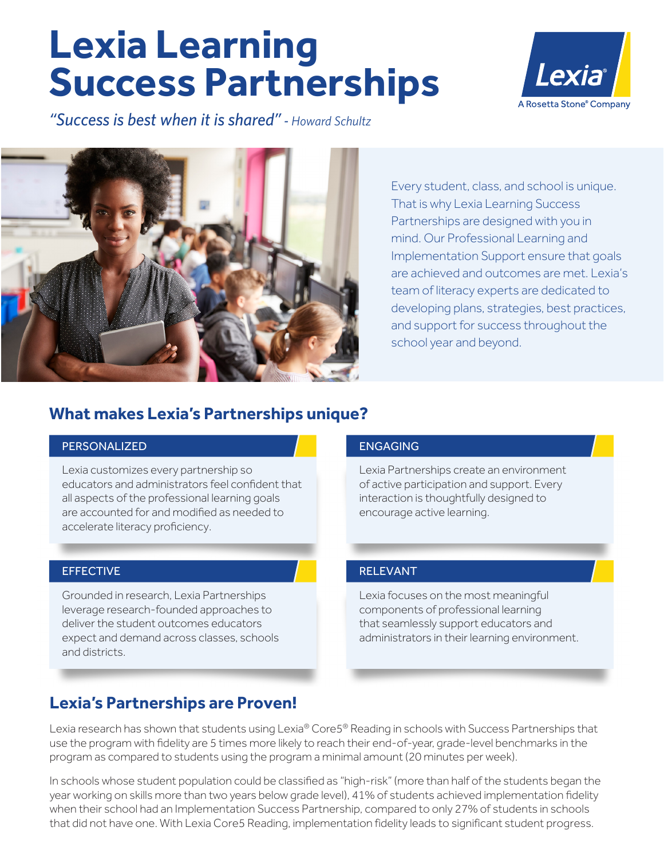# **Lexia Learning Success Partnerships**

*"Success is best when it is shared" - Howard Schultz*





Every student, class, and school is unique. That is why Lexia Learning Success Partnerships are designed with you in mind. Our Professional Learning and Implementation Support ensure that goals are achieved and outcomes are met. Lexia's team of literacy experts are dedicated to developing plans, strategies, best practices, and support for success throughout the school year and beyond.

# **What makes Lexia's Partnerships unique?**

# PERSONALIZED PERSONALIZED

Lexia customizes every partnership so educators and administrators feel confident that all aspects of the professional learning goals are accounted for and modified as needed to accelerate literacy proficiency.

## EFFECTIVE EFFECTIVE

Grounded in research, Lexia Partnerships leverage research-founded approaches to deliver the student outcomes educators expect and demand across classes, schools and districts.

# ENGAGING ENGAGING

Lexia Partnerships create an environment of active participation and support. Every interaction is thoughtfully designed to encourage active learning.

# RELEVANT RELEVANT

Lexia focuses on the most meaningful components of professional learning that seamlessly support educators and administrators in their learning environment.

## **Lexia's Partnerships are Proven!**

Lexia research has shown that students using Lexia® Core5® Reading in schools with Success Partnerships that use the program with fidelity are 5 times more likely to reach their end-of-year, grade-level benchmarks in the program as compared to students using the program a minimal amount (20 minutes per week).

In schools whose student population could be classified as "high-risk" (more than half of the students began the year working on skills more than two years below grade level), 41% of students achieved implementation fidelity when their school had an Implementation Success Partnership, compared to only 27% of students in schools that did not have one. With Lexia Core5 Reading, implementation fidelity leads to significant student progress.